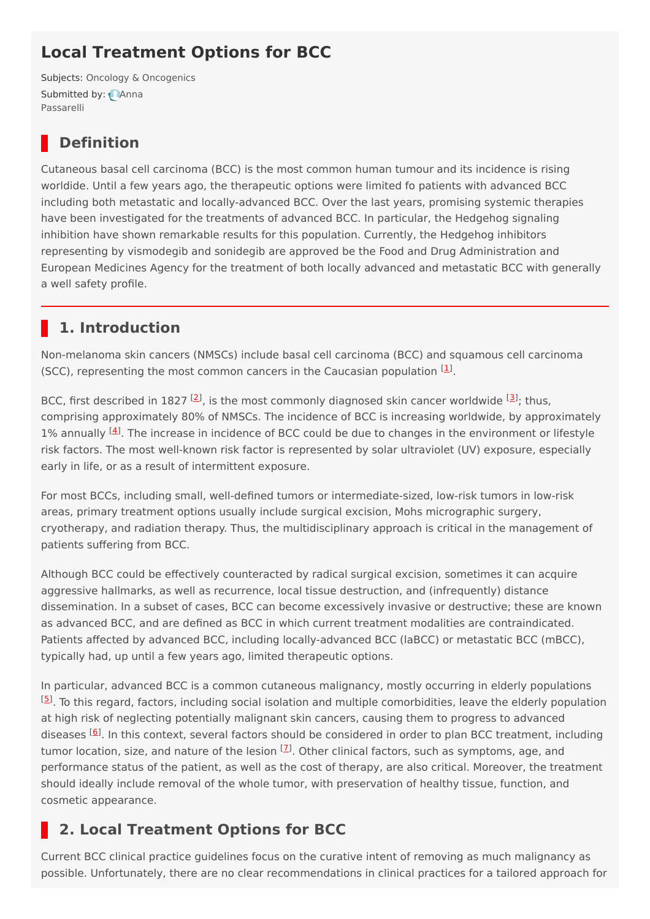# **Local Treatment Options for BCC**

Subjects: Oncology & [Oncogenics](https://encyclopedia.pub/item/subject/73) [Submitted](https://sciprofiles.com/profile/1076737) by: Anna Passarelli

## **Definition**

Cutaneous basal cell carcinoma (BCC) is the most common human tumour and its incidence is rising worldide. Until a few years ago, the therapeutic options were limited fo patients with advanced BCC including both metastatic and locally-advanced BCC. Over the last years, promising systemic therapies have been investigated for the treatments of advanced BCC. In particular, the Hedgehog signaling inhibition have shown remarkable results for this population. Currently, the Hedgehog inhibitors representing by vismodegib and sonidegib are approved be the Food and Drug Administration and European Medicines Agency for the treatment of both locally advanced and metastatic BCC with generally a well safety profile.

## **1. Introduction**

Non-melanoma skin cancers (NMSCs) include basal cell carcinoma (BCC) and squamous cell carcinoma (SCC), representing the most common cancers in the Caucasian population  $[1]$  $[1]$ .

BCC, first described in 1827 <sup>[\[2](#page-3-1)]</sup>, is the most commonly diagnosed skin cancer worldwide <sup>[\[3](#page-3-2)]</sup>; thus, comprising approximately 80% of NMSCs. The incidence of BCC is increasing worldwide, by approximately 1% annually  $[4]$  $[4]$  $[4]$ . The increase in incidence of BCC could be due to changes in the environment or lifestyle risk factors. The most well-known risk factor is represented by solar ultraviolet (UV) exposure, especially early in life, or as a result of intermittent exposure.

For most BCCs, including small, well-defined tumors or intermediate-sized, low-risk tumors in low-risk areas, primary treatment options usually include surgical excision, Mohs micrographic surgery, cryotherapy, and radiation therapy. Thus, the multidisciplinary approach is critical in the management of patients suffering from BCC.

Although BCC could be effectively counteracted by radical surgical excision, sometimes it can acquire aggressive hallmarks, as well as recurrence, local tissue destruction, and (infrequently) distance dissemination. In a subset of cases, BCC can become excessively invasive or destructive; these are known as advanced BCC, and are defined as BCC in which current treatment modalities are contraindicated. Patients affected by advanced BCC, including locally-advanced BCC (laBCC) or metastatic BCC (mBCC), typically had, up until a few years ago, limited therapeutic options.

In particular, advanced BCC is a common cutaneous malignancy, mostly occurring in elderly populations [\[5](#page-3-4)]. To this regard, factors, including social isolation and multiple comorbidities, leave the elderly population at high risk of neglecting potentially malignant skin cancers, causing them to progress to advanced diseases <sup>[[6](#page-3-5)]</sup>. In this context, several factors should be considered in order to plan BCC treatment, including tumor location, size, and nature of the lesion <sup>[<u>[7](#page-3-6)</u>]</sup>. Other clinical factors, such as symptoms, age, and performance status of the patient, as well as the cost of therapy, are also critical. Moreover, the treatment should ideally include removal of the whole tumor, with preservation of healthy tissue, function, and cosmetic appearance.

# **2. Local Treatment Options for BCC**

Current BCC clinical practice guidelines focus on the curative intent of removing as much malignancy as possible. Unfortunately, there are no clear recommendations in clinical practices for a tailored approach for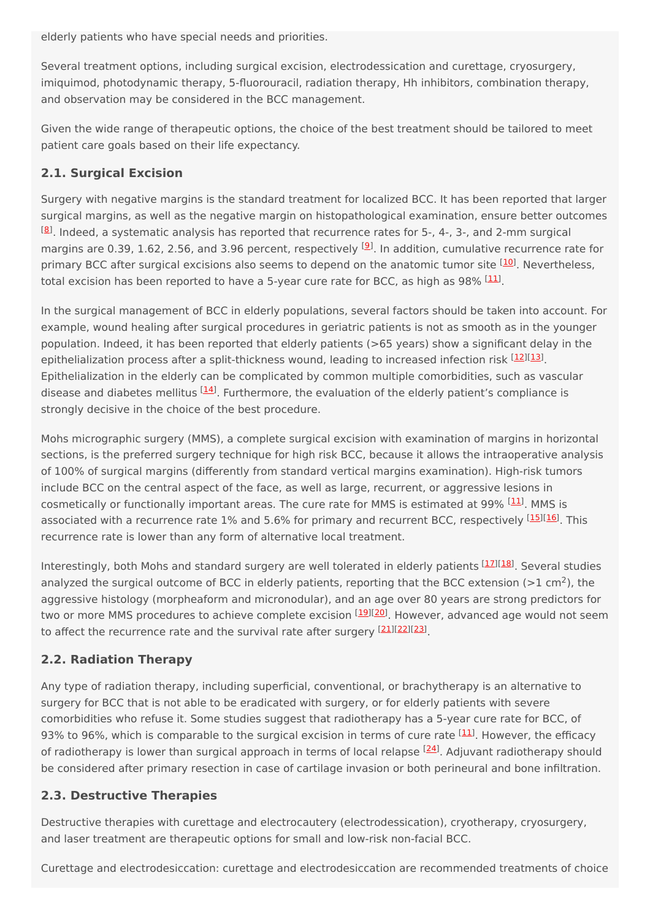elderly patients who have special needs and priorities.

Several treatment options, including surgical excision, electrodessication and curettage, cryosurgery, imiquimod, photodynamic therapy, 5-fluorouracil, radiation therapy, Hh inhibitors, combination therapy, and observation may be considered in the BCC management.

Given the wide range of therapeutic options, the choice of the best treatment should be tailored to meet patient care goals based on their life expectancy.

### **2.1. Surgical Excision**

Surgery with negative margins is the standard treatment for localized BCC. It has been reported that larger surgical margins, as well as the negative margin on histopathological examination, ensure better outcomes  $^{[8]}$  $^{[8]}$  $^{[8]}$ . Indeed, a systematic analysis has reported that recurrence rates for 5-, 4-, 3-, and 2-mm surgical margins are 0.3[9](#page-3-8), 1.62, 2.56, and 3.96 percent, respectively <sup>[9]</sup>. In addition, cumulative recurrence rate for primary BCC after surgical excisions also seems to depend on the anatomic tumor site <sup>[\[10\]](#page-3-9)</sup>. Nevertheless, total excision has been reported to have a 5-year cure rate for BCC, as high as 98% <sup>[\[11](#page-3-10)]</sup>.

In the surgical management of BCC in elderly populations, several factors should be taken into account. For example, wound healing after surgical procedures in geriatric patients is not as smooth as in the younger population. Indeed, it has been reported that elderly patients (>65 years) show a significant delay in the epithelialization process after a split-thickness wound, leading to increased infection risk [\[12](#page-3-11)][\[13](#page-3-12)]. Epithelialization in the elderly can be complicated by common multiple comorbidities, such as vascular disease and diabetes mellitus <sup>[\[14](#page-3-13)]</sup>. Furthermore, the evaluation of the elderly patient's compliance is strongly decisive in the choice of the best procedure.

Mohs micrographic surgery (MMS), a complete surgical excision with examination of margins in horizontal sections, is the preferred surgery technique for high risk BCC, because it allows the intraoperative analysis of 100% of surgical margins (differently from standard vertical margins examination). High-risk tumors include BCC on the central aspect of the face, as well as large, recurrent, or aggressive lesions in cosmetically or functionally important areas. The cure rate for MMS is estimated at 99% <sup>[\[11](#page-3-10)]</sup>. MMS is associated with a recurrence rate 1% and 5.6% for primary and recurrent BCC, respectively [\[15](#page-3-14)][\[16](#page-3-15)]. This recurrence rate is lower than any form of alternative local treatment.

Interestingly, both Mohs and standard surgery are well tolerated in elderly patients [\[17](#page-3-16)][\[18](#page-3-17)]. Several studies analyzed the surgical outcome of BCC in elderly patients, reporting that the BCC extension (>1 cm<sup>2</sup>), the aggressive histology (morpheaform and micronodular), and an age over 80 years are strong predictors for two or more MMS procedures to achieve complete excision <sup>[[19\]](#page-3-18)[[20\]](#page-3-19)</sup>. However, advanced age would not seem to affect the recurrence rate and the survival rate after surgery [[21\]](#page-3-20)[[22\]](#page-3-21)[[23](#page-3-22)].

#### **2.2. Radiation Therapy**

Any type of radiation therapy, including superficial, conventional, or brachytherapy is an alternative to surgery for BCC that is not able to be eradicated with surgery, or for elderly patients with severe comorbidities who refuse it. Some studies suggest that radiotherapy has a 5-year cure rate for BCC, of 93% to 96%, which is comparable to the surgical excision in terms of cure rate <sup>[\[11](#page-3-10)]</sup>. However, the efficacy of radiotherapy is lower than surgical approach in terms of local relapse <sup>[\[24](#page-3-23)]</sup>. Adjuvant radiotherapy should be considered after primary resection in case of cartilage invasion or both perineural and bone infiltration.

#### **2.3. Destructive Therapies**

Destructive therapies with curettage and electrocautery (electrodessication), cryotherapy, cryosurgery, and laser treatment are therapeutic options for small and low-risk non-facial BCC.

Curettage and electrodesiccation: curettage and electrodesiccation are recommended treatments of choice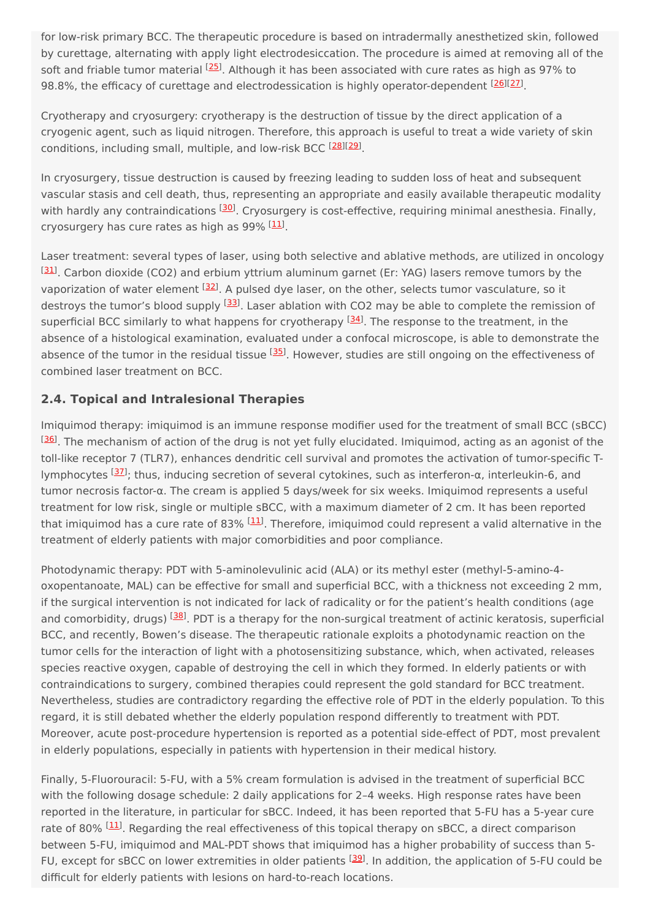for low-risk primary BCC. The therapeutic procedure is based on intradermally anesthetized skin, followed by curettage, alternating with apply light electrodesiccation. The procedure is aimed at removing all of the soft and friable tumor material <sup>[\[25](#page-3-24)]</sup>. Although it has been associated with cure rates as high as 97% to 98.8%, the efficacy of curettage and electrodessication is highly operator-dependent [\[26](#page-3-25)][\[27](#page-3-26)].

Cryotherapy and cryosurgery: cryotherapy is the destruction of tissue by the direct application of a cryogenic agent, such as liquid nitrogen. Therefore, this approach is useful to treat a wide variety of skin conditions, including small, multiple, and low-risk BCC [[28\]](#page-4-0)[[29\]](#page-4-1).

In cryosurgery, tissue destruction is caused by freezing leading to sudden loss of heat and subsequent vascular stasis and cell death, thus, representing an appropriate and easily available therapeutic modality with hardly any contraindications <sup>[\[30](#page-4-2)]</sup>. Cryosurgery is cost-effective, requiring minimal anesthesia. Finally, cryosurgery has cure rates as high as 99% [\[11](#page-3-10)].

Laser treatment: several types of laser, using both selective and ablative methods, are utilized in oncology [\[31\]](#page-4-3). Carbon dioxide (CO2) and erbium yttrium aluminum garnet (Er: YAG) lasers remove tumors by the vaporization of water element <sup>[[32](#page-4-4)]</sup>. A pulsed dye laser, on the other, selects tumor vasculature, so it destroys the tumor's blood supply <sup>[[33\]](#page-4-5)</sup>. Laser ablation with CO2 may be able to complete the remission of superficial BCC similarly to what happens for cryotherapy <sup>[\[34](#page-4-6)]</sup>. The response to the treatment, in the absence of a histological examination, evaluated under a confocal microscope, is able to demonstrate the absence of the tumor in the residual tissue <sup>[[35\]](#page-4-7)</sup>. However, studies are still ongoing on the effectiveness of combined laser treatment on BCC.

### **2.4. Topical and Intralesional Therapies**

Imiquimod therapy: imiquimod is an immune response modifier used for the treatment of small BCC (sBCC) <sup>[\[36\]](#page-4-8)</sup>. The mechanism of action of the drug is not yet fully elucidated. Imiquimod, acting as an agonist of the toll-like receptor 7 (TLR7), enhances dendritic cell survival and promotes the activation of tumor-specific T-lymphocytes <sup>[\[37](#page-4-9)]</sup>; thus, inducing secretion of several cytokines, such as interferon-α, interleukin-6, and tumor necrosis factor-α. The cream is applied 5 days/week for six weeks. Imiquimod represents a useful treatment for low risk, single or multiple sBCC, with a maximum diameter of 2 cm. It has been reported that imiquimod has a cure rate of 83% <sup>[[11](#page-3-10)]</sup>. Therefore, imiquimod could represent a valid alternative in the treatment of elderly patients with major comorbidities and poor compliance.

Photodynamic therapy: PDT with 5-aminolevulinic acid (ALA) or its methyl ester (methyl-5-amino-4 oxopentanoate, MAL) can be effective for small and superficial BCC, with a thickness not exceeding 2 mm, if the surgical intervention is not indicated for lack of radicality or for the patient's health conditions (age and comorbidity, drugs) <sup>[\[38](#page-4-10)]</sup>. PDT is a therapy for the non-surgical treatment of actinic keratosis, superficial BCC, and recently, Bowen's disease. The therapeutic rationale exploits a photodynamic reaction on the tumor cells for the interaction of light with a photosensitizing substance, which, when activated, releases species reactive oxygen, capable of destroying the cell in which they formed. In elderly patients or with contraindications to surgery, combined therapies could represent the gold standard for BCC treatment. Nevertheless, studies are contradictory regarding the effective role of PDT in the elderly population. To this regard, it is still debated whether the elderly population respond differently to treatment with PDT. Moreover, acute post-procedure hypertension is reported as a potential side-effect of PDT, most prevalent in elderly populations, especially in patients with hypertension in their medical history.

Finally, 5-Fluorouracil: 5-FU, with a 5% cream formulation is advised in the treatment of superficial BCC with the following dosage schedule: 2 daily applications for 2–4 weeks. High response rates have been reported in the literature, in particular for sBCC. Indeed, it has been reported that 5-FU has a 5-year cure rate of 80% <sup>[[11\]](#page-3-10)</sup>. Regarding the real effectiveness of this topical therapy on sBCC, a direct comparison between 5-FU, imiquimod and MAL-PDT shows that imiquimod has a higher probability of success than 5- FU, except for sBCC on lower extremities in older patients <sup>[\[39\]](#page-4-11)</sup>. In addition, the application of 5-FU could be difficult for elderly patients with lesions on hard-to-reach locations.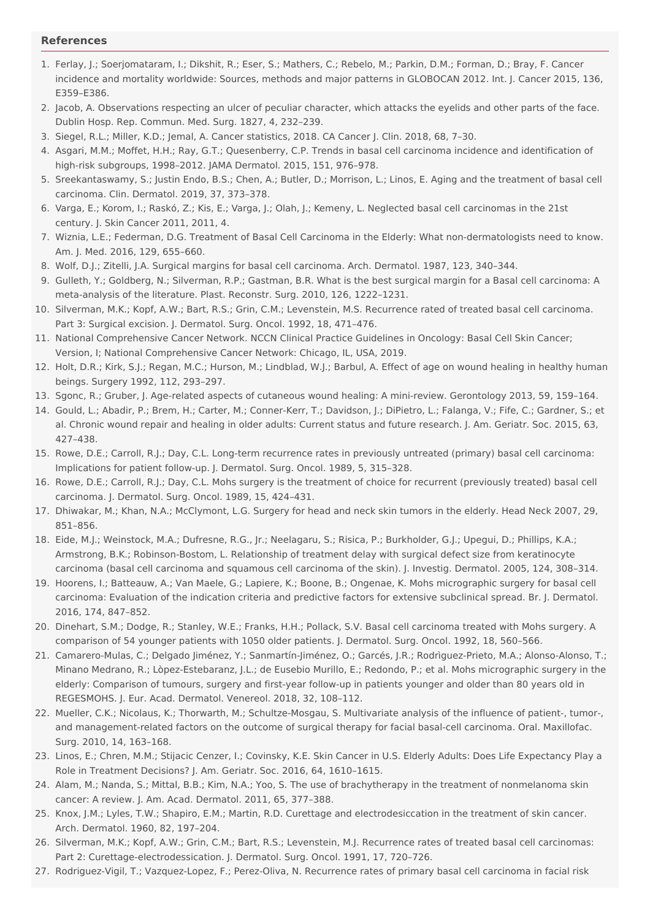#### <span id="page-3-0"></span>**References**

- <span id="page-3-1"></span>1. Ferlay, J.; Soerjomataram, I.; Dikshit, R.; Eser, S.; Mathers, C.; Rebelo, M.; Parkin, D.M.; Forman, D.; Bray, F. Cancer incidence and mortality worldwide: Sources, methods and major patterns in GLOBOCAN 2012. Int. J. Cancer 2015, 136, E359–E386.
- <span id="page-3-2"></span>2. Jacob, A. Observations respecting an ulcer of peculiar character, which attacks the eyelids and other parts of the face. Dublin Hosp. Rep. Commun. Med. Surg. 1827, 4, 232–239.
- <span id="page-3-3"></span>3. Siegel, R.L.; Miller, K.D.; Jemal, A. Cancer statistics, 2018. CA Cancer J. Clin. 2018, 68, 7–30.
- <span id="page-3-4"></span>4. Asgari, M.M.; Moffet, H.H.; Ray, G.T.; Quesenberry, C.P. Trends in basal cell carcinoma incidence and identification of high-risk subgroups, 1998–2012. JAMA Dermatol. 2015, 151, 976–978.
- <span id="page-3-5"></span>5. Sreekantaswamy, S.; Justin Endo, B.S.; Chen, A.; Butler, D.; Morrison, L.; Linos, E. Aging and the treatment of basal cell carcinoma. Clin. Dermatol. 2019, 37, 373–378.
- <span id="page-3-6"></span>6. Varga, E.; Korom, I.; Raskó, Z.; Kis, E.; Varga, J.; Olah, J.; Kemeny, L. Neglected basal cell carcinomas in the 21st century. J. Skin Cancer 2011, 2011, 4.
- <span id="page-3-7"></span>7. Wiznia, L.E.; Federman, D.G. Treatment of Basal Cell Carcinoma in the Elderly: What non-dermatologists need to know. Am. J. Med. 2016, 129, 655–660.
- <span id="page-3-8"></span>8. Wolf, D.J.; Zitelli, J.A. Surgical margins for basal cell carcinoma. Arch. Dermatol. 1987, 123, 340–344.
- <span id="page-3-9"></span>9. Gulleth, Y.; Goldberg, N.; Silverman, R.P.; Gastman, B.R. What is the best surgical margin for a Basal cell carcinoma: A meta-analysis of the literature. Plast. Reconstr. Surg. 2010, 126, 1222–1231.
- <span id="page-3-10"></span>10. Silverman, M.K.; Kopf, A.W.; Bart, R.S.; Grin, C.M.; Levenstein, M.S. Recurrence rated of treated basal cell carcinoma. Part 3: Surgical excision. J. Dermatol. Surg. Oncol. 1992, 18, 471–476.
- <span id="page-3-11"></span>11. National Comprehensive Cancer Network. NCCN Clinical Practice Guidelines in Oncology: Basal Cell Skin Cancer; Version, I; National Comprehensive Cancer Network: Chicago, IL, USA, 2019.
- <span id="page-3-12"></span>12. Holt, D.R.; Kirk, S.J.; Regan, M.C.; Hurson, M.; Lindblad, W.J.; Barbul, A. Effect of age on wound healing in healthy human beings. Surgery 1992, 112, 293–297.
- <span id="page-3-13"></span>13. Sgonc, R.; Gruber, J. Age-related aspects of cutaneous wound healing: A mini-review. Gerontology 2013, 59, 159–164.
- <span id="page-3-14"></span>14. Gould, L.; Abadir, P.; Brem, H.; Carter, M.; Conner-Kerr, T.; Davidson, J.; DiPietro, L.; Falanga, V.; Fife, C.; Gardner, S.; et al. Chronic wound repair and healing in older adults: Current status and future research. J. Am. Geriatr. Soc. 2015, 63, 427–438.
- <span id="page-3-15"></span>15. Rowe, D.E.; Carroll, R.J.; Day, C.L. Long-term recurrence rates in previously untreated (primary) basal cell carcinoma: Implications for patient follow-up. J. Dermatol. Surg. Oncol. 1989, 5, 315–328.
- <span id="page-3-16"></span>16. Rowe, D.E.; Carroll, R.J.; Day, C.L. Mohs surgery is the treatment of choice for recurrent (previously treated) basal cell carcinoma. J. Dermatol. Surg. Oncol. 1989, 15, 424–431.
- <span id="page-3-17"></span>17. Dhiwakar, M.; Khan, N.A.; McClymont, L.G. Surgery for head and neck skin tumors in the elderly. Head Neck 2007, 29, 851–856.
- <span id="page-3-18"></span>18. Eide, M.J.; Weinstock, M.A.; Dufresne, R.G., Jr.; Neelagaru, S.; Risica, P.; Burkholder, G.J.; Upegui, D.; Phillips, K.A.; Armstrong, B.K.; Robinson-Bostom, L. Relationship of treatment delay with surgical defect size from keratinocyte carcinoma (basal cell carcinoma and squamous cell carcinoma of the skin). J. Investig. Dermatol. 2005, 124, 308–314.
- <span id="page-3-19"></span>19. Hoorens, I.; Batteauw, A.; Van Maele, G.; Lapiere, K.; Boone, B.; Ongenae, K. Mohs micrographic surgery for basal cell carcinoma: Evaluation of the indication criteria and predictive factors for extensive subclinical spread. Br. J. Dermatol. 2016, 174, 847–852.
- <span id="page-3-20"></span>20. Dinehart, S.M.; Dodge, R.; Stanley, W.E.; Franks, H.H.; Pollack, S.V. Basal cell carcinoma treated with Mohs surgery. A comparison of 54 younger patients with 1050 older patients. J. Dermatol. Surg. Oncol. 1992, 18, 560–566.
- 21. Camarero-Mulas, C.; Delgado Jiménez, Y.; Sanmartín-Jiménez, O.; Garcés, J.R.; Rodrìguez-Prieto, M.A.; Alonso-Alonso, T.; Minano Medrano, R.; Lòpez-Estebaranz, J.L.; de Eusebio Murillo, E.; Redondo, P.; et al. Mohs micrographic surgery in the elderly: Comparison of tumours, surgery and first-year follow-up in patients younger and older than 80 years old in REGESMOHS. J. Eur. Acad. Dermatol. Venereol. 2018, 32, 108–112.
- <span id="page-3-22"></span><span id="page-3-21"></span>22. Mueller, C.K.; Nicolaus, K.; Thorwarth, M.; Schultze-Mosgau, S. Multivariate analysis of the influence of patient-, tumor-, and management-related factors on the outcome of surgical therapy for facial basal-cell carcinoma. Oral. Maxillofac. Surg. 2010, 14, 163–168.
- <span id="page-3-23"></span>23. Linos, E.; Chren, M.M.; Stijacic Cenzer, I.; Covinsky, K.E. Skin Cancer in U.S. Elderly Adults: Does Life Expectancy Play a Role in Treatment Decisions? J. Am. Geriatr. Soc. 2016, 64, 1610–1615.
- <span id="page-3-24"></span>24. Alam, M.; Nanda, S.; Mittal, B.B.; Kim, N.A.; Yoo, S. The use of brachytherapy in the treatment of nonmelanoma skin cancer: A review. J. Am. Acad. Dermatol. 2011, 65, 377–388.
- <span id="page-3-25"></span>25. Knox, J.M.; Lyles, T.W.; Shapiro, E.M.; Martin, R.D. Curettage and electrodesiccation in the treatment of skin cancer. Arch. Dermatol. 1960, 82, 197–204.
- <span id="page-3-26"></span>26. Silverman, M.K.; Kopf, A.W.; Grin, C.M.; Bart, R.S.; Levenstein, M.J. Recurrence rates of treated basal cell carcinomas: Part 2: Curettage-electrodessication. J. Dermatol. Surg. Oncol. 1991, 17, 720–726.
- 27. Rodriguez-Vigil, T.; Vazquez-Lopez, F.; Perez-Oliva, N. Recurrence rates of primary basal cell carcinoma in facial risk